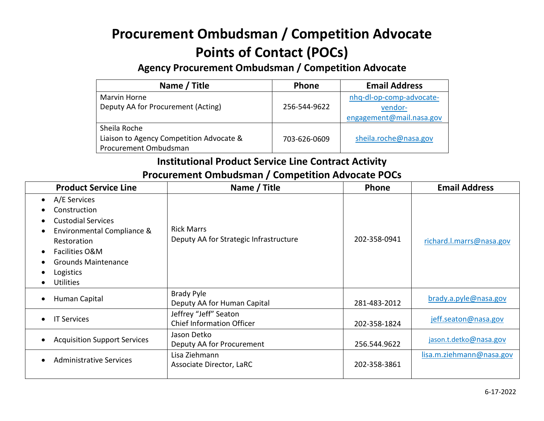# **Procurement Ombudsman / Competition Advocate Points of Contact (POCs)**

**Agency Procurement Ombudsman / Competition Advocate**

| Name / Title                             | <b>Phone</b> | <b>Email Address</b>     |
|------------------------------------------|--------------|--------------------------|
| Marvin Horne                             |              | nhq-dl-op-comp-advocate- |
| Deputy AA for Procurement (Acting)       | 256-544-9622 | vendor-                  |
|                                          |              | engagement@mail.nasa.gov |
| Sheila Roche                             |              |                          |
| Liaison to Agency Competition Advocate & | 703-626-0609 | sheila.roche@nasa.gov    |
| Procurement Ombudsman                    |              |                          |

#### **Institutional Product Service Line Contract Activity Procurement Ombudsman / Competition Advocate POCs**

| <b>Product Service Line</b>                                                                                                                                                                          | Name / Title                                                | Phone        | <b>Email Address</b>     |
|------------------------------------------------------------------------------------------------------------------------------------------------------------------------------------------------------|-------------------------------------------------------------|--------------|--------------------------|
| A/E Services<br>$\bullet$<br>Construction<br><b>Custodial Services</b><br>Environmental Compliance &<br>Restoration<br>Facilities O&M<br><b>Grounds Maintenance</b><br>Logistics<br><b>Utilities</b> | <b>Rick Marrs</b><br>Deputy AA for Strategic Infrastructure | 202-358-0941 | richard.l.marrs@nasa.gov |
| Human Capital                                                                                                                                                                                        | <b>Brady Pyle</b><br>Deputy AA for Human Capital            | 281-483-2012 | brady.a.pyle@nasa.gov    |
| <b>IT Services</b>                                                                                                                                                                                   | Jeffrey "Jeff" Seaton<br><b>Chief Information Officer</b>   | 202-358-1824 | jeff.seaton@nasa.gov     |
| <b>Acquisition Support Services</b>                                                                                                                                                                  | Jason Detko<br>Deputy AA for Procurement                    | 256.544.9622 | jason.t.detko@nasa.gov   |
| <b>Administrative Services</b>                                                                                                                                                                       | Lisa Ziehmann<br>Associate Director, LaRC                   | 202-358-3861 | lisa.m.ziehmann@nasa.gov |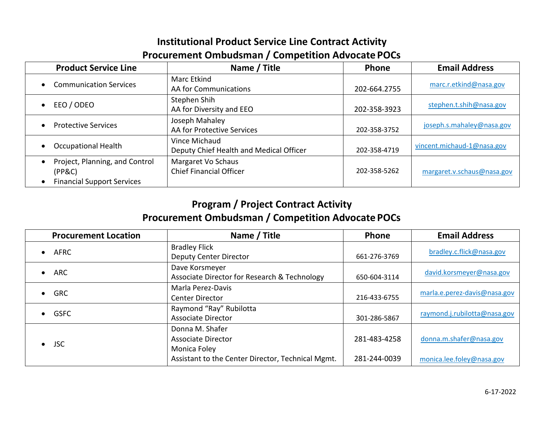#### **Institutional Product Service Line Contract Activity Procurement Ombudsman / Competition Advocate POCs**

| <b>Product Service Line</b>                                                   | Name / Title                                             | Phone        | <b>Email Address</b>       |
|-------------------------------------------------------------------------------|----------------------------------------------------------|--------------|----------------------------|
| <b>Communication Services</b>                                                 | <b>Marc Etkind</b><br>AA for Communications              | 202-664.2755 | marc.r.etkind@nasa.gov     |
| EEO / ODEO                                                                    | Stephen Shih<br>AA for Diversity and EEO                 | 202-358-3923 | stephen.t.shih@nasa.gov    |
| <b>Protective Services</b>                                                    | Joseph Mahaley<br>AA for Protective Services             | 202-358-3752 | joseph.s.mahaley@nasa.gov  |
| <b>Occupational Health</b>                                                    | Vince Michaud<br>Deputy Chief Health and Medical Officer | 202-358-4719 | vincent.michaud-1@nasa.gov |
| Project, Planning, and Control<br>(PP&C)<br><b>Financial Support Services</b> | Margaret Vo Schaus<br><b>Chief Financial Officer</b>     | 202-358-5262 | margaret.v.schaus@nasa.gov |

### **Program / Project Contract Activity Procurement Ombudsman / Competition Advocate POCs**

| <b>Procurement Location</b> | Name / Title                                                   | Phone        | <b>Email Address</b>         |
|-----------------------------|----------------------------------------------------------------|--------------|------------------------------|
| <b>AFRC</b>                 | <b>Bradley Flick</b><br><b>Deputy Center Director</b>          | 661-276-3769 | bradley.c.flick@nasa.gov     |
| ARC                         | Dave Korsmeyer<br>Associate Director for Research & Technology | 650-604-3114 | david.korsmeyer@nasa.gov     |
| $\bullet$ GRC               | Marla Perez-Davis<br>Center Director                           | 216-433-6755 | marla.e.perez-davis@nasa.gov |
| $\bullet$ GSFC              | Raymond "Ray" Rubilotta<br><b>Associate Director</b>           | 301-286-5867 | raymond.j.rubilotta@nasa.gov |
| <b>JSC</b>                  | Donna M. Shafer<br>Associate Director<br>Monica Foley          | 281-483-4258 | donna.m.shafer@nasa.gov      |
|                             | Assistant to the Center Director, Technical Mgmt.              | 281-244-0039 | monica.lee.foley@nasa.gov    |